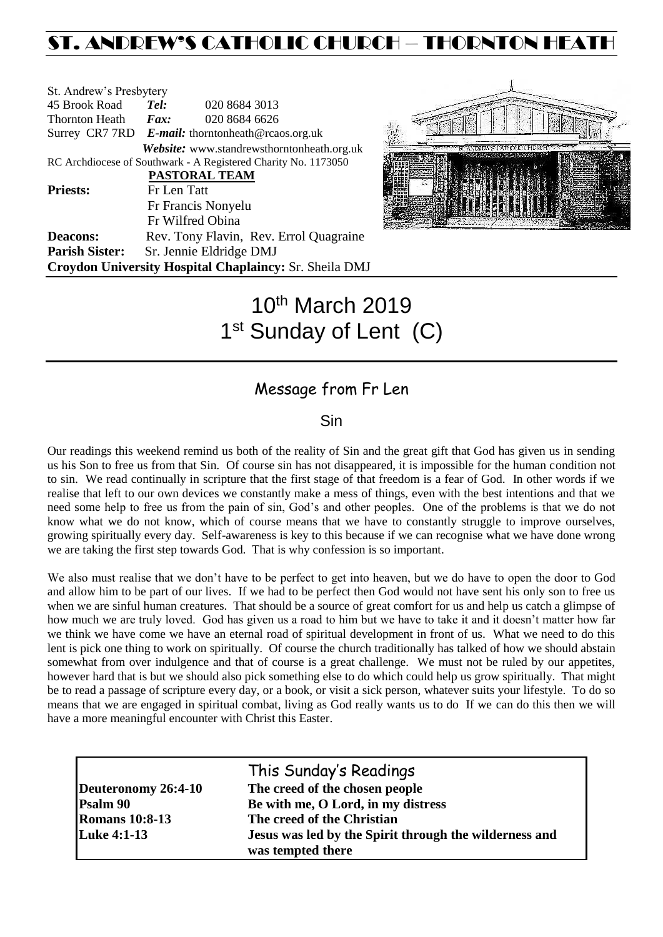## ST. ANDREW'S CATHOLIC CHURCH – THORNTON HEATH

| St. Andrew's Presbytery     |                                                   |                                                                |  |  |  |
|-----------------------------|---------------------------------------------------|----------------------------------------------------------------|--|--|--|
| 45 Brook Road               | Tel:                                              | 020 8684 3013                                                  |  |  |  |
| Thornton Heath <i>Fax</i> : |                                                   | 020 8684 6626                                                  |  |  |  |
|                             | Surrey CR7 7RD E-mail: thorntonheath@rcaos.org.uk |                                                                |  |  |  |
|                             |                                                   | Website: www.standrewsthorntonheath.org.uk                     |  |  |  |
|                             |                                                   | RC Archdiocese of Southwark - A Registered Charity No. 1173050 |  |  |  |
|                             |                                                   | <b>PASTORAL TEAM</b>                                           |  |  |  |
| <b>Priests:</b>             | Fr Len Tatt                                       |                                                                |  |  |  |
|                             | Fr Francis Nonyelu                                |                                                                |  |  |  |
|                             |                                                   | Fr Wilfred Obina                                               |  |  |  |
| <b>Deacons:</b>             |                                                   | Rev. Tony Flavin, Rev. Errol Quagraine                         |  |  |  |
| <b>Parish Sister:</b>       |                                                   | Sr. Jennie Eldridge DMJ                                        |  |  |  |
|                             |                                                   | <b>Croydon University Hospital Chaplaincy: Sr. Sheila DMJ</b>  |  |  |  |



# 10<sup>th</sup> March 2019 1<sup>st</sup> Sunday of Lent (C)

## Message from Fr Len

#### Sin

Our readings this weekend remind us both of the reality of Sin and the great gift that God has given us in sending us his Son to free us from that Sin. Of course sin has not disappeared, it is impossible for the human condition not to sin. We read continually in scripture that the first stage of that freedom is a fear of God. In other words if we realise that left to our own devices we constantly make a mess of things, even with the best intentions and that we need some help to free us from the pain of sin, God's and other peoples. One of the problems is that we do not know what we do not know, which of course means that we have to constantly struggle to improve ourselves, growing spiritually every day. Self-awareness is key to this because if we can recognise what we have done wrong we are taking the first step towards God. That is why confession is so important.

We also must realise that we don't have to be perfect to get into heaven, but we do have to open the door to God and allow him to be part of our lives. If we had to be perfect then God would not have sent his only son to free us when we are sinful human creatures. That should be a source of great comfort for us and help us catch a glimpse of how much we are truly loved. God has given us a road to him but we have to take it and it doesn't matter how far we think we have come we have an eternal road of spiritual development in front of us. What we need to do this lent is pick one thing to work on spiritually. Of course the church traditionally has talked of how we should abstain somewhat from over indulgence and that of course is a great challenge. We must not be ruled by our appetites, however hard that is but we should also pick something else to do which could help us grow spiritually. That might be to read a passage of scripture every day, or a book, or visit a sick person, whatever suits your lifestyle. To do so means that we are engaged in spiritual combat, living as God really wants us to do If we can do this then we will have a more meaningful encounter with Christ this Easter.

|                       | This Sunday's Readings                                 |  |  |
|-----------------------|--------------------------------------------------------|--|--|
| Deuteronomy 26:4-10   | The creed of the chosen people                         |  |  |
| <b>Psalm 90</b>       | Be with me, O Lord, in my distress                     |  |  |
| <b>Romans 10:8-13</b> | The creed of the Christian                             |  |  |
| Luke 4:1-13           | Jesus was led by the Spirit through the wilderness and |  |  |
|                       | was tempted there                                      |  |  |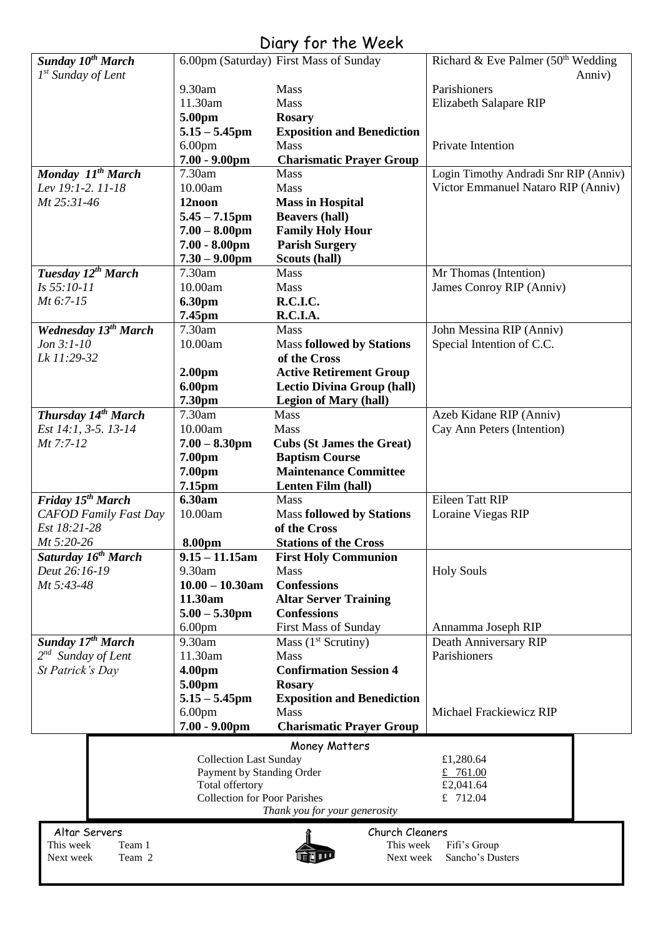| Diary for the Week                           |                                                            |                                                  |                                                |  |  |  |  |
|----------------------------------------------|------------------------------------------------------------|--------------------------------------------------|------------------------------------------------|--|--|--|--|
| Sunday 10 <sup>th</sup> March                |                                                            | 6.00pm (Saturday) First Mass of Sunday           | Richard & Eve Palmer (50 <sup>th</sup> Wedding |  |  |  |  |
| $1st$ Sunday of Lent                         |                                                            |                                                  | Anniv)                                         |  |  |  |  |
|                                              | 9.30am                                                     | Mass                                             | Parishioners                                   |  |  |  |  |
|                                              | 11.30am                                                    | Mass                                             | Elizabeth Salapare RIP                         |  |  |  |  |
|                                              | 5.00pm                                                     | <b>Rosary</b>                                    |                                                |  |  |  |  |
|                                              | $5.15 - 5.45$ pm                                           | <b>Exposition and Benediction</b>                |                                                |  |  |  |  |
|                                              | 6.00 <sub>pm</sub>                                         | <b>Mass</b>                                      | Private Intention                              |  |  |  |  |
|                                              | $7.00 - 9.00$ pm                                           | <b>Charismatic Prayer Group</b>                  |                                                |  |  |  |  |
| Monday $I^{\text{th}}$ March                 | 7.30am                                                     | <b>Mass</b>                                      | Login Timothy Andradi Snr RIP (Anniv)          |  |  |  |  |
| Lev 19:1-2. 11-18                            | 10.00am                                                    | Mass                                             | Victor Emmanuel Nataro RIP (Anniv)             |  |  |  |  |
| Mt 25:31-46                                  | 12noon                                                     | <b>Mass in Hospital</b>                          |                                                |  |  |  |  |
|                                              | $5.45 - 7.15$ pm                                           | <b>Beavers (hall)</b>                            |                                                |  |  |  |  |
|                                              | $7.00 - 8.00$ pm                                           | <b>Family Holy Hour</b>                          |                                                |  |  |  |  |
|                                              | $7.00 - 8.00$ pm                                           | <b>Parish Surgery</b>                            |                                                |  |  |  |  |
|                                              | $7.30 - 9.00$ pm                                           | Scouts (hall)                                    |                                                |  |  |  |  |
| Tuesday 12 <sup>th</sup> March               | 7.30am                                                     | <b>Mass</b>                                      | Mr Thomas (Intention)                          |  |  |  |  |
| $Is 55:10-11$                                | 10.00am                                                    | Mass                                             | James Conroy RIP (Anniv)                       |  |  |  |  |
| Mt 6:7-15                                    | 6.30pm                                                     | R.C.I.C.                                         |                                                |  |  |  |  |
|                                              | 7.45pm                                                     | R.C.I.A.                                         |                                                |  |  |  |  |
| <b>Wednesday 13th March</b>                  | 7.30am                                                     | <b>Mass</b>                                      | John Messina RIP (Anniv)                       |  |  |  |  |
| $Jon 3:1-10$                                 | 10.00am                                                    | <b>Mass followed by Stations</b>                 | Special Intention of C.C.                      |  |  |  |  |
| Lk 11:29-32                                  |                                                            | of the Cross                                     |                                                |  |  |  |  |
|                                              | 2.00 <sub>pm</sub>                                         | <b>Active Retirement Group</b>                   |                                                |  |  |  |  |
|                                              | 6.00pm                                                     | <b>Lectio Divina Group (hall)</b>                |                                                |  |  |  |  |
|                                              | 7.30pm                                                     | <b>Legion of Mary (hall)</b>                     |                                                |  |  |  |  |
| Thursday 14th March                          | 7.30am                                                     | Mass                                             | Azeb Kidane RIP (Anniv)                        |  |  |  |  |
| Est 14:1, 3-5. 13-14                         | 10.00am                                                    | Mass                                             | Cay Ann Peters (Intention)                     |  |  |  |  |
| $Mt$ 7:7-12                                  | $7.00 - 8.30$ pm                                           | <b>Cubs (St James the Great)</b>                 |                                                |  |  |  |  |
|                                              | 7.00pm                                                     | <b>Baptism Course</b>                            |                                                |  |  |  |  |
|                                              | 7.00pm                                                     | <b>Maintenance Committee</b>                     |                                                |  |  |  |  |
|                                              | 7.15pm<br>6.30am                                           | Lenten Film (hall)                               | Eileen Tatt RIP                                |  |  |  |  |
| Friday 15 <sup>th</sup> March                |                                                            | Mass                                             |                                                |  |  |  |  |
| <b>CAFOD Family Fast Day</b><br>Est 18:21-28 | 10.00am                                                    | <b>Mass followed by Stations</b><br>of the Cross | Loraine Viegas RIP                             |  |  |  |  |
| Mt 5:20-26                                   | 8.00pm                                                     | <b>Stations of the Cross</b>                     |                                                |  |  |  |  |
| Saturday 16 <sup>th</sup> March              | $9.15 - 11.15$ am                                          | <b>First Holy Communion</b>                      |                                                |  |  |  |  |
| Deut 26:16-19                                | 9.30am                                                     | Mass                                             | <b>Holy Souls</b>                              |  |  |  |  |
| Mt 5:43-48                                   | $10.00 - 10.30$ am                                         | <b>Confessions</b>                               |                                                |  |  |  |  |
|                                              | 11.30am                                                    | <b>Altar Server Training</b>                     |                                                |  |  |  |  |
|                                              | $5.00 - 5.30$ pm                                           | <b>Confessions</b>                               |                                                |  |  |  |  |
|                                              | 6.00 <sub>pm</sub>                                         | <b>First Mass of Sunday</b>                      | Annamma Joseph RIP                             |  |  |  |  |
| Sunday 17 <sup>th</sup> March                | 9.30am                                                     | Mass $(1st$ Scrutiny)                            | Death Anniversary RIP                          |  |  |  |  |
| $2^{nd}$ Sunday of Lent                      | 11.30am                                                    | Mass                                             | Parishioners                                   |  |  |  |  |
| St Patrick's Day                             | 4.00pm                                                     | <b>Confirmation Session 4</b>                    |                                                |  |  |  |  |
|                                              | 5.00pm                                                     | <b>Rosary</b>                                    |                                                |  |  |  |  |
|                                              | $5.15 - 5.45$ pm                                           | <b>Exposition and Benediction</b>                |                                                |  |  |  |  |
|                                              | 6.00 <sub>pm</sub>                                         | Mass                                             | Michael Frackiewicz RIP                        |  |  |  |  |
|                                              | $7.00 - 9.00$ pm                                           | <b>Charismatic Prayer Group</b>                  |                                                |  |  |  |  |
|                                              |                                                            |                                                  |                                                |  |  |  |  |
|                                              |                                                            | Money Matters                                    |                                                |  |  |  |  |
|                                              | <b>Collection Last Sunday</b><br>Payment by Standing Order |                                                  | £1,280.64<br>£ 761.00                          |  |  |  |  |
|                                              | Total offertory                                            |                                                  | £2,041.64                                      |  |  |  |  |
|                                              | <b>Collection for Poor Parishes</b>                        |                                                  | £ 712.04                                       |  |  |  |  |
|                                              |                                                            | Thank you for your generosity                    |                                                |  |  |  |  |
| Altar Servers                                |                                                            | Church Cleaners                                  |                                                |  |  |  |  |
| This week<br>Team 1                          |                                                            | This week                                        | Fifi's Group                                   |  |  |  |  |
| Team 2<br>Next week                          |                                                            | Next week                                        | Sancho's Dusters                               |  |  |  |  |
|                                              |                                                            |                                                  |                                                |  |  |  |  |

 $\overline{\phantom{a}}$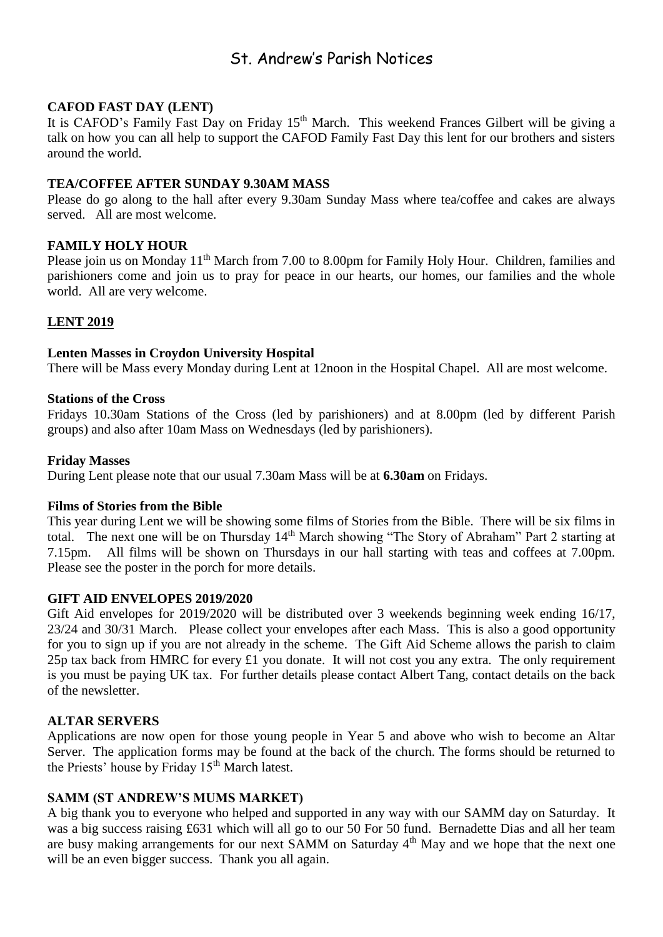## St. Andrew's Parish Notices

#### **CAFOD FAST DAY (LENT)**

It is CAFOD's Family Fast Day on Friday 15<sup>th</sup> March. This weekend Frances Gilbert will be giving a talk on how you can all help to support the CAFOD Family Fast Day this lent for our brothers and sisters around the world.

#### **TEA/COFFEE AFTER SUNDAY 9.30AM MASS**

Please do go along to the hall after every 9.30am Sunday Mass where tea/coffee and cakes are always served. All are most welcome.

#### **FAMILY HOLY HOUR**

Please join us on Monday 11<sup>th</sup> March from 7.00 to 8.00pm for Family Holy Hour. Children, families and parishioners come and join us to pray for peace in our hearts, our homes, our families and the whole world. All are very welcome.

#### **LENT 2019**

#### **Lenten Masses in Croydon University Hospital**

There will be Mass every Monday during Lent at 12noon in the Hospital Chapel. All are most welcome.

#### **Stations of the Cross**

Fridays 10.30am Stations of the Cross (led by parishioners) and at 8.00pm (led by different Parish groups) and also after 10am Mass on Wednesdays (led by parishioners).

#### **Friday Masses**

During Lent please note that our usual 7.30am Mass will be at **6.30am** on Fridays.

#### **Films of Stories from the Bible**

This year during Lent we will be showing some films of Stories from the Bible. There will be six films in total. The next one will be on Thursday 14<sup>th</sup> March showing "The Story of Abraham" Part 2 starting at 7.15pm. All films will be shown on Thursdays in our hall starting with teas and coffees at 7.00pm. Please see the poster in the porch for more details.

#### **GIFT AID ENVELOPES 2019/2020**

Gift Aid envelopes for 2019/2020 will be distributed over 3 weekends beginning week ending 16/17, 23/24 and 30/31 March. Please collect your envelopes after each Mass. This is also a good opportunity for you to sign up if you are not already in the scheme. The Gift Aid Scheme allows the parish to claim 25p tax back from HMRC for every £1 you donate. It will not cost you any extra. The only requirement is you must be paying UK tax. For further details please contact Albert Tang, contact details on the back of the newsletter.

#### **ALTAR SERVERS**

Applications are now open for those young people in Year 5 and above who wish to become an Altar Server. The application forms may be found at the back of the church. The forms should be returned to the Priests' house by Friday 15<sup>th</sup> March latest.

#### **SAMM (ST ANDREW'S MUMS MARKET)**

A big thank you to everyone who helped and supported in any way with our SAMM day on Saturday. It was a big success raising £631 which will all go to our 50 For 50 fund. Bernadette Dias and all her team are busy making arrangements for our next SAMM on Saturday 4<sup>th</sup> May and we hope that the next one will be an even bigger success. Thank you all again.